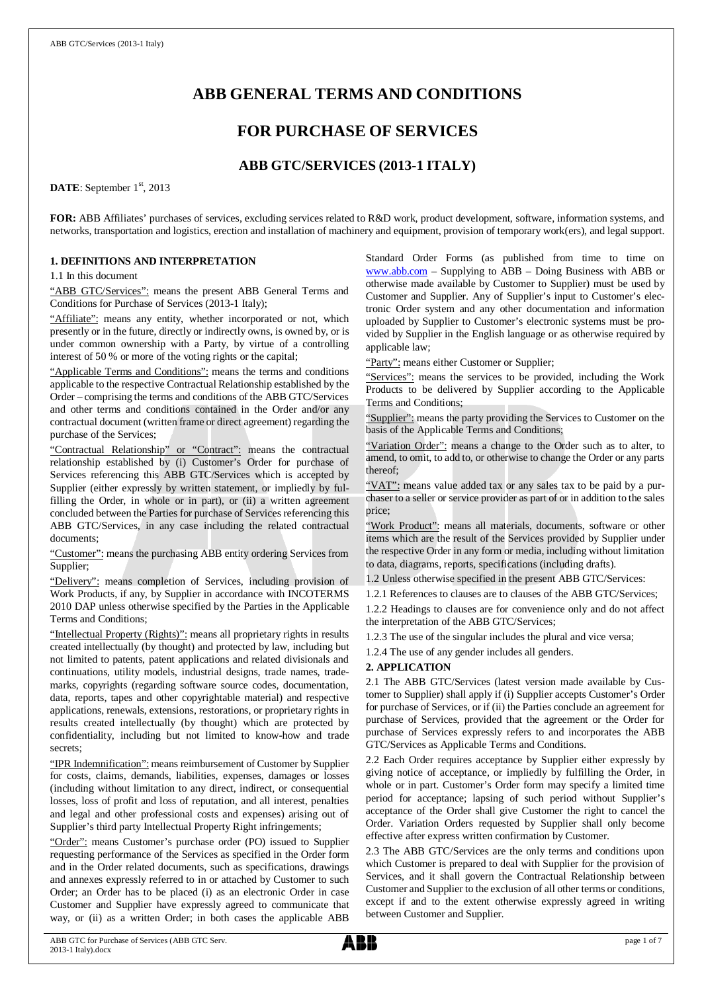# **ABB GENERAL TERMS AND CONDITIONS**

## **FOR PURCHASE OF SERVICES**

## **ABB GTC/SERVICES (2013-1 ITALY)**

DATE: September 1<sup>st</sup>, 2013

**FOR:** ABB Affiliates' purchases of services, excluding services related to R&D work, product development, software, information systems, and networks, transportation and logistics, erection and installation of machinery and equipment, provision of temporary work(ers), and legal support.

## **1. DEFINITIONS AND INTERPRETATION**

1.1 In this document

"ABB GTC/Services": means the present ABB General Terms and Conditions for Purchase of Services (2013-1 Italy);

"Affiliate": means any entity, whether incorporated or not, which presently or in the future, directly or indirectly owns, is owned by, or is under common ownership with a Party, by virtue of a controlling interest of 50 % or more of the voting rights or the capital;

"Applicable Terms and Conditions": means the terms and conditions applicable to the respective Contractual Relationship established by the Order – comprising the terms and conditions of the ABB GTC/Services and other terms and conditions contained in the Order and/or any contractual document (written frame or direct agreement) regarding the purchase of the Services;

"Contractual Relationship" or "Contract": means the contractual relationship established by (i) Customer's Order for purchase of Services referencing this ABB GTC/Services which is accepted by Supplier (either expressly by written statement, or impliedly by fulfilling the Order, in whole or in part), or (ii) a written agreement concluded between the Parties for purchase of Services referencing this ABB GTC/Services, in any case including the related contractual documents;

"Customer": means the purchasing ABB entity ordering Services from Supplier;

"Delivery": means completion of Services, including provision of Work Products, if any, by Supplier in accordance with INCOTERMS 2010 DAP unless otherwise specified by the Parties in the Applicable Terms and Conditions;

"Intellectual Property (Rights)": means all proprietary rights in results created intellectually (by thought) and protected by law, including but not limited to patents, patent applications and related divisionals and continuations, utility models, industrial designs, trade names, trademarks, copyrights (regarding software source codes, documentation, data, reports, tapes and other copyrightable material) and respective applications, renewals, extensions, restorations, or proprietary rights in results created intellectually (by thought) which are protected by confidentiality, including but not limited to know-how and trade secrets;

"IPR Indemnification": means reimbursement of Customer by Supplier for costs, claims, demands, liabilities, expenses, damages or losses (including without limitation to any direct, indirect, or consequential losses, loss of profit and loss of reputation, and all interest, penalties and legal and other professional costs and expenses) arising out of Supplier's third party Intellectual Property Right infringements;

"Order": means Customer's purchase order (PO) issued to Supplier requesting performance of the Services as specified in the Order form and in the Order related documents, such as specifications, drawings and annexes expressly referred to in or attached by Customer to such Order; an Order has to be placed (i) as an electronic Order in case Customer and Supplier have expressly agreed to communicate that way, or (ii) as a written Order; in both cases the applicable ABB

Standard Order Forms (as published from time to time on [www.abb.com](http://www.abb.com/) – Supplying to ABB – Doing Business with ABB or otherwise made available by Customer to Supplier) must be used by Customer and Supplier. Any of Supplier's input to Customer's electronic Order system and any other documentation and information uploaded by Supplier to Customer's electronic systems must be provided by Supplier in the English language or as otherwise required by applicable law;

"Party": means either Customer or Supplier;

"Services": means the services to be provided, including the Work Products to be delivered by Supplier according to the Applicable Terms and Conditions;

"Supplier": means the party providing the Services to Customer on the basis of the Applicable Terms and Conditions;

"Variation Order": means a change to the Order such as to alter, to amend, to omit, to add to, or otherwise to change the Order or any parts thereof;

"VAT": means value added tax or any sales tax to be paid by a purchaser to a seller or service provider as part of or in addition to the sales price;

"Work Product": means all materials, documents, software or other items which are the result of the Services provided by Supplier under the respective Order in any form or media, including without limitation to data, diagrams, reports, specifications (including drafts).

1.2 Unless otherwise specified in the present ABB GTC/Services:

1.2.1 References to clauses are to clauses of the ABB GTC/Services; 1.2.2 Headings to clauses are for convenience only and do not affect the interpretation of the ABB GTC/Services;

1.2.3 The use of the singular includes the plural and vice versa;

1.2.4 The use of any gender includes all genders.

#### **2. APPLICATION**

2.1 The ABB GTC/Services (latest version made available by Customer to Supplier) shall apply if (i) Supplier accepts Customer's Order for purchase of Services, or if (ii) the Parties conclude an agreement for purchase of Services, provided that the agreement or the Order for purchase of Services expressly refers to and incorporates the ABB GTC/Services as Applicable Terms and Conditions.

2.2 Each Order requires acceptance by Supplier either expressly by giving notice of acceptance, or impliedly by fulfilling the Order, in whole or in part. Customer's Order form may specify a limited time period for acceptance; lapsing of such period without Supplier's acceptance of the Order shall give Customer the right to cancel the Order. Variation Orders requested by Supplier shall only become effective after express written confirmation by Customer.

2.3 The ABB GTC/Services are the only terms and conditions upon which Customer is prepared to deal with Supplier for the provision of Services, and it shall govern the Contractual Relationship between Customer and Supplier to the exclusion of all other terms or conditions, except if and to the extent otherwise expressly agreed in writing between Customer and Supplier.

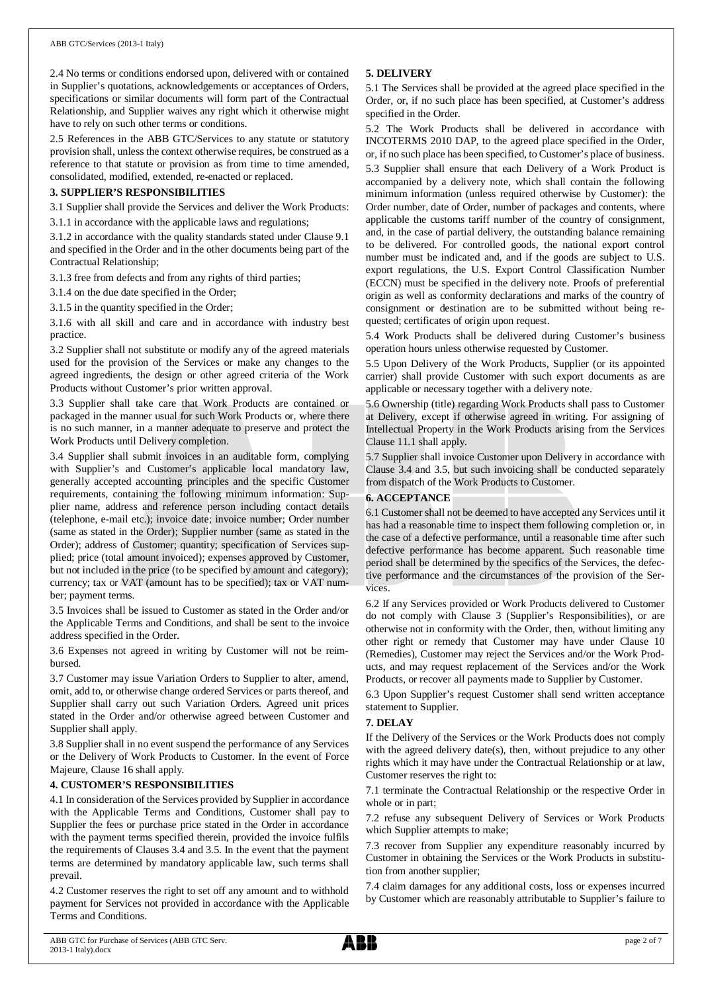2.4 No terms or conditions endorsed upon, delivered with or contained in Supplier's quotations, acknowledgements or acceptances of Orders, specifications or similar documents will form part of the Contractual Relationship, and Supplier waives any right which it otherwise might have to rely on such other terms or conditions.

2.5 References in the ABB GTC/Services to any statute or statutory provision shall, unless the context otherwise requires, be construed as a reference to that statute or provision as from time to time amended, consolidated, modified, extended, re-enacted or replaced.

#### **3. SUPPLIER'S RESPONSIBILITIES**

3.1 Supplier shall provide the Services and deliver the Work Products: 3.1.1 in accordance with the applicable laws and regulations;

3.1.2 in accordance with the quality standards stated under Clause 9.1 and specified in the Order and in the other documents being part of the

Contractual Relationship; 3.1.3 free from defects and from any rights of third parties;

3.1.4 on the due date specified in the Order;

3.1.5 in the quantity specified in the Order;

3.1.6 with all skill and care and in accordance with industry best practice.

3.2 Supplier shall not substitute or modify any of the agreed materials used for the provision of the Services or make any changes to the agreed ingredients, the design or other agreed criteria of the Work Products without Customer's prior written approval.

3.3 Supplier shall take care that Work Products are contained or packaged in the manner usual for such Work Products or, where there is no such manner, in a manner adequate to preserve and protect the Work Products until Delivery completion.

3.4 Supplier shall submit invoices in an auditable form, complying with Supplier's and Customer's applicable local mandatory law, generally accepted accounting principles and the specific Customer requirements, containing the following minimum information: Supplier name, address and reference person including contact details (telephone, e-mail etc.); invoice date; invoice number; Order number (same as stated in the Order); Supplier number (same as stated in the Order); address of Customer; quantity; specification of Services supplied; price (total amount invoiced); expenses approved by Customer, but not included in the price (to be specified by amount and category); currency; tax or VAT (amount has to be specified); tax or VAT number; payment terms.

3.5 Invoices shall be issued to Customer as stated in the Order and/or the Applicable Terms and Conditions, and shall be sent to the invoice address specified in the Order.

3.6 Expenses not agreed in writing by Customer will not be reimbursed.

3.7 Customer may issue Variation Orders to Supplier to alter, amend, omit, add to, or otherwise change ordered Services or parts thereof, and Supplier shall carry out such Variation Orders. Agreed unit prices stated in the Order and/or otherwise agreed between Customer and Supplier shall apply.

3.8 Supplier shall in no event suspend the performance of any Services or the Delivery of Work Products to Customer. In the event of Force Majeure, Clause 16 shall apply.

#### **4. CUSTOMER'S RESPONSIBILITIES**

4.1 In consideration of the Services provided by Supplier in accordance with the Applicable Terms and Conditions, Customer shall pay to Supplier the fees or purchase price stated in the Order in accordance with the payment terms specified therein, provided the invoice fulfils the requirements of Clauses 3.4 and 3.5. In the event that the payment terms are determined by mandatory applicable law, such terms shall prevail.

4.2 Customer reserves the right to set off any amount and to withhold payment for Services not provided in accordance with the Applicable Terms and Conditions.

## **5. DELIVERY**

5.1 The Services shall be provided at the agreed place specified in the Order, or, if no such place has been specified, at Customer's address specified in the Order.

5.2 The Work Products shall be delivered in accordance with INCOTERMS 2010 DAP, to the agreed place specified in the Order, or, if no such place has been specified, to Customer's place of business. 5.3 Supplier shall ensure that each Delivery of a Work Product is accompanied by a delivery note, which shall contain the following minimum information (unless required otherwise by Customer): the Order number, date of Order, number of packages and contents, where applicable the customs tariff number of the country of consignment, and, in the case of partial delivery, the outstanding balance remaining to be delivered. For controlled goods, the national export control number must be indicated and, and if the goods are subject to U.S. export regulations, the U.S. Export Control Classification Number (ECCN) must be specified in the delivery note. Proofs of preferential origin as well as conformity declarations and marks of the country of consignment or destination are to be submitted without being requested; certificates of origin upon request.

5.4 Work Products shall be delivered during Customer's business operation hours unless otherwise requested by Customer.

5.5 Upon Delivery of the Work Products, Supplier (or its appointed carrier) shall provide Customer with such export documents as are applicable or necessary together with a delivery note.

5.6 Ownership (title) regarding Work Products shall pass to Customer at Delivery, except if otherwise agreed in writing. For assigning of Intellectual Property in the Work Products arising from the Services Clause 11.1 shall apply.

5.7 Supplier shall invoice Customer upon Delivery in accordance with Clause 3.4 and 3.5, but such invoicing shall be conducted separately from dispatch of the Work Products to Customer.

#### **6. ACCEPTANCE**

6.1 Customer shall not be deemed to have accepted any Services until it has had a reasonable time to inspect them following completion or, in the case of a defective performance, until a reasonable time after such defective performance has become apparent. Such reasonable time period shall be determined by the specifics of the Services, the defective performance and the circumstances of the provision of the Services.

6.2 If any Services provided or Work Products delivered to Customer do not comply with Clause 3 (Supplier's Responsibilities), or are otherwise not in conformity with the Order, then, without limiting any other right or remedy that Customer may have under Clause 10 (Remedies), Customer may reject the Services and/or the Work Products, and may request replacement of the Services and/or the Work Products, or recover all payments made to Supplier by Customer.

6.3 Upon Supplier's request Customer shall send written acceptance statement to Supplier.

#### **7. DELAY**

If the Delivery of the Services or the Work Products does not comply with the agreed delivery date(s), then, without prejudice to any other rights which it may have under the Contractual Relationship or at law, Customer reserves the right to:

7.1 terminate the Contractual Relationship or the respective Order in whole or in part;

7.2 refuse any subsequent Delivery of Services or Work Products which Supplier attempts to make;

7.3 recover from Supplier any expenditure reasonably incurred by Customer in obtaining the Services or the Work Products in substitution from another supplier;

7.4 claim damages for any additional costs, loss or expenses incurred by Customer which are reasonably attributable to Supplier's failure to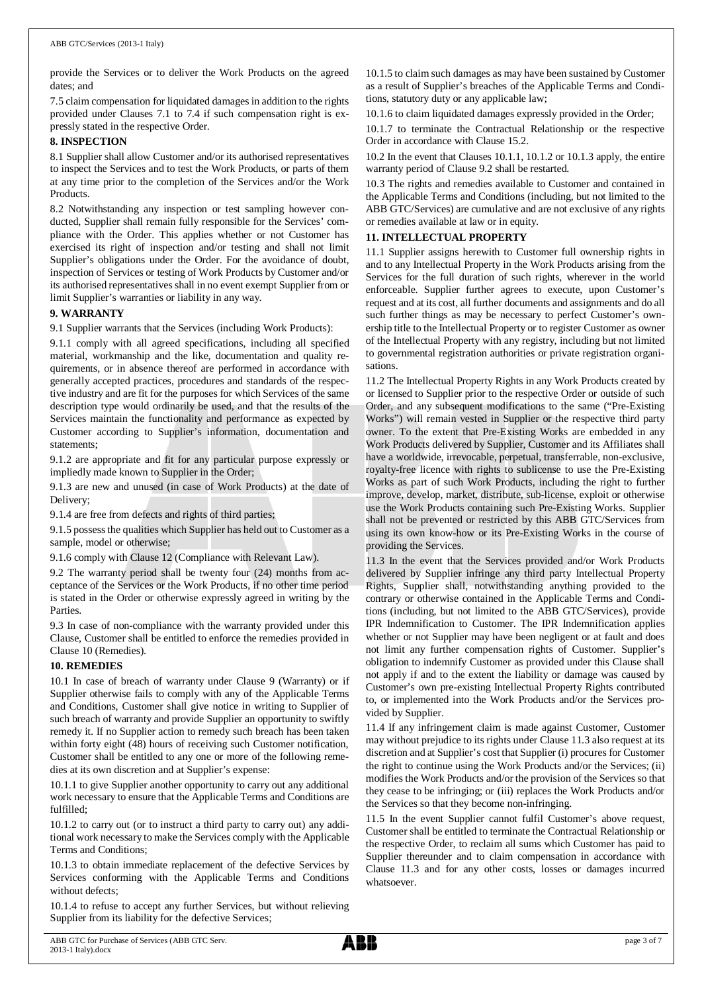provide the Services or to deliver the Work Products on the agreed dates; and

7.5 claim compensation for liquidated damages in addition to the rights provided under Clauses 7.1 to 7.4 if such compensation right is expressly stated in the respective Order.

#### **8. INSPECTION**

8.1 Supplier shall allow Customer and/or its authorised representatives to inspect the Services and to test the Work Products, or parts of them at any time prior to the completion of the Services and/or the Work Products.

8.2 Notwithstanding any inspection or test sampling however conducted, Supplier shall remain fully responsible for the Services' compliance with the Order. This applies whether or not Customer has exercised its right of inspection and/or testing and shall not limit Supplier's obligations under the Order. For the avoidance of doubt, inspection of Services or testing of Work Products by Customer and/or its authorised representatives shall in no event exempt Supplier from or limit Supplier's warranties or liability in any way.

#### **9. WARRANTY**

9.1 Supplier warrants that the Services (including Work Products):

9.1.1 comply with all agreed specifications, including all specified material, workmanship and the like, documentation and quality requirements, or in absence thereof are performed in accordance with generally accepted practices, procedures and standards of the respective industry and are fit for the purposes for which Services of the same description type would ordinarily be used, and that the results of the Services maintain the functionality and performance as expected by Customer according to Supplier's information, documentation and statements;

9.1.2 are appropriate and fit for any particular purpose expressly or impliedly made known to Supplier in the Order;

9.1.3 are new and unused (in case of Work Products) at the date of Delivery;

9.1.4 are free from defects and rights of third parties;

9.1.5 possess the qualities which Supplier has held out to Customer as a sample, model or otherwise;

9.1.6 comply with Clause 12 (Compliance with Relevant Law).

9.2 The warranty period shall be twenty four (24) months from acceptance of the Services or the Work Products, if no other time period is stated in the Order or otherwise expressly agreed in writing by the Parties.

9.3 In case of non-compliance with the warranty provided under this Clause, Customer shall be entitled to enforce the remedies provided in Clause 10 (Remedies).

#### **10. REMEDIES**

10.1 In case of breach of warranty under Clause 9 (Warranty) or if Supplier otherwise fails to comply with any of the Applicable Terms and Conditions, Customer shall give notice in writing to Supplier of such breach of warranty and provide Supplier an opportunity to swiftly remedy it. If no Supplier action to remedy such breach has been taken within forty eight (48) hours of receiving such Customer notification, Customer shall be entitled to any one or more of the following remedies at its own discretion and at Supplier's expense:

10.1.1 to give Supplier another opportunity to carry out any additional work necessary to ensure that the Applicable Terms and Conditions are fulfilled;

10.1.2 to carry out (or to instruct a third party to carry out) any additional work necessary to make the Services comply with the Applicable Terms and Conditions;

10.1.3 to obtain immediate replacement of the defective Services by Services conforming with the Applicable Terms and Conditions without defects;

10.1.4 to refuse to accept any further Services, but without relieving Supplier from its liability for the defective Services;

10.1.5 to claim such damages as may have been sustained by Customer as a result of Supplier's breaches of the Applicable Terms and Conditions, statutory duty or any applicable law;

10.1.6 to claim liquidated damages expressly provided in the Order;

10.1.7 to terminate the Contractual Relationship or the respective Order in accordance with Clause 15.2.

10.2 In the event that Clauses 10.1.1, 10.1.2 or 10.1.3 apply, the entire warranty period of Clause 9.2 shall be restarted.

10.3 The rights and remedies available to Customer and contained in the Applicable Terms and Conditions (including, but not limited to the ABB GTC/Services) are cumulative and are not exclusive of any rights or remedies available at law or in equity.

#### **11. INTELLECTUAL PROPERTY**

11.1 Supplier assigns herewith to Customer full ownership rights in and to any Intellectual Property in the Work Products arising from the Services for the full duration of such rights, wherever in the world enforceable. Supplier further agrees to execute, upon Customer's request and at its cost, all further documents and assignments and do all such further things as may be necessary to perfect Customer's ownership title to the Intellectual Property or to register Customer as owner of the Intellectual Property with any registry, including but not limited to governmental registration authorities or private registration organisations.

11.2 The Intellectual Property Rights in any Work Products created by or licensed to Supplier prior to the respective Order or outside of such Order, and any subsequent modifications to the same ("Pre-Existing Works") will remain vested in Supplier or the respective third party owner. To the extent that Pre-Existing Works are embedded in any Work Products delivered by Supplier, Customer and its Affiliates shall have a worldwide, irrevocable, perpetual, transferrable, non-exclusive, royalty-free licence with rights to sublicense to use the Pre-Existing Works as part of such Work Products, including the right to further improve, develop, market, distribute, sub-license, exploit or otherwise use the Work Products containing such Pre-Existing Works. Supplier shall not be prevented or restricted by this ABB GTC/Services from using its own know-how or its Pre-Existing Works in the course of providing the Services.

11.3 In the event that the Services provided and/or Work Products delivered by Supplier infringe any third party Intellectual Property Rights, Supplier shall, notwithstanding anything provided to the contrary or otherwise contained in the Applicable Terms and Conditions (including, but not limited to the ABB GTC/Services), provide IPR Indemnification to Customer. The IPR Indemnification applies whether or not Supplier may have been negligent or at fault and does not limit any further compensation rights of Customer. Supplier's obligation to indemnify Customer as provided under this Clause shall not apply if and to the extent the liability or damage was caused by Customer's own pre-existing Intellectual Property Rights contributed to, or implemented into the Work Products and/or the Services provided by Supplier.

11.4 If any infringement claim is made against Customer, Customer may without prejudice to its rights under Clause 11.3 also request at its discretion and at Supplier's cost that Supplier (i) procures for Customer the right to continue using the Work Products and/or the Services; (ii) modifies the Work Products and/or the provision of the Services so that they cease to be infringing; or (iii) replaces the Work Products and/or the Services so that they become non-infringing.

11.5 In the event Supplier cannot fulfil Customer's above request, Customer shall be entitled to terminate the Contractual Relationship or the respective Order, to reclaim all sums which Customer has paid to Supplier thereunder and to claim compensation in accordance with Clause 11.3 and for any other costs, losses or damages incurred whatsoever.

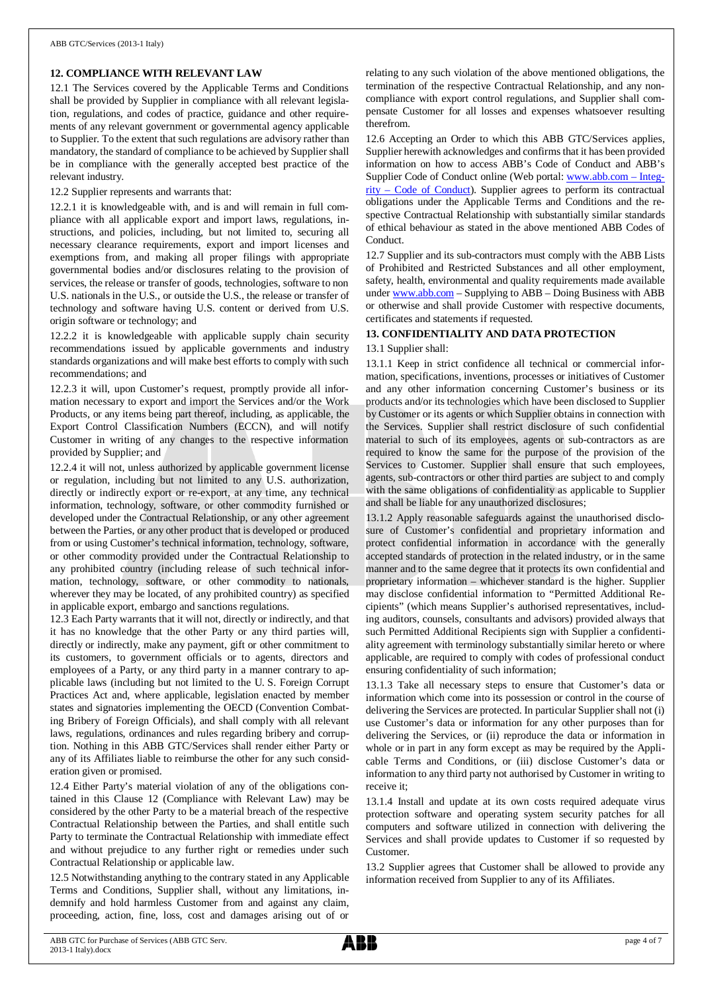## **12. COMPLIANCE WITH RELEVANT LAW**

12.1 The Services covered by the Applicable Terms and Conditions shall be provided by Supplier in compliance with all relevant legislation, regulations, and codes of practice, guidance and other requirements of any relevant government or governmental agency applicable to Supplier. To the extent that such regulations are advisory rather than mandatory, the standard of compliance to be achieved by Supplier shall be in compliance with the generally accepted best practice of the relevant industry.

12.2 Supplier represents and warrants that:

12.2.1 it is knowledgeable with, and is and will remain in full compliance with all applicable export and import laws, regulations, instructions, and policies, including, but not limited to, securing all necessary clearance requirements, export and import licenses and exemptions from, and making all proper filings with appropriate governmental bodies and/or disclosures relating to the provision of services, the release or transfer of goods, technologies, software to non U.S. nationals in the U.S., or outside the U.S., the release or transfer of technology and software having U.S. content or derived from U.S. origin software or technology; and

12.2.2 it is knowledgeable with applicable supply chain security recommendations issued by applicable governments and industry standards organizations and will make best efforts to comply with such recommendations; and

12.2.3 it will, upon Customer's request, promptly provide all information necessary to export and import the Services and/or the Work Products, or any items being part thereof, including, as applicable, the Export Control Classification Numbers (ECCN), and will notify Customer in writing of any changes to the respective information provided by Supplier; and

12.2.4 it will not, unless authorized by applicable government license or regulation, including but not limited to any U.S. authorization, directly or indirectly export or re-export, at any time, any technical information, technology, software, or other commodity furnished or developed under the Contractual Relationship, or any other agreement between the Parties, or any other product that is developed or produced from or using Customer's technical information, technology, software, or other commodity provided under the Contractual Relationship to any prohibited country (including release of such technical information, technology, software, or other commodity to nationals, wherever they may be located, of any prohibited country) as specified in applicable export, embargo and sanctions regulations.

12.3 Each Party warrants that it will not, directly or indirectly, and that it has no knowledge that the other Party or any third parties will, directly or indirectly, make any payment, gift or other commitment to its customers, to government officials or to agents, directors and employees of a Party, or any third party in a manner contrary to applicable laws (including but not limited to the U. S. Foreign Corrupt Practices Act and, where applicable, legislation enacted by member states and signatories implementing the OECD (Convention Combating Bribery of Foreign Officials), and shall comply with all relevant laws, regulations, ordinances and rules regarding bribery and corruption. Nothing in this ABB GTC/Services shall render either Party or any of its Affiliates liable to reimburse the other for any such consideration given or promised.

12.4 Either Party's material violation of any of the obligations contained in this Clause 12 (Compliance with Relevant Law) may be considered by the other Party to be a material breach of the respective Contractual Relationship between the Parties, and shall entitle such Party to terminate the Contractual Relationship with immediate effect and without prejudice to any further right or remedies under such Contractual Relationship or applicable law.

12.5 Notwithstanding anything to the contrary stated in any Applicable Terms and Conditions, Supplier shall, without any limitations, indemnify and hold harmless Customer from and against any claim, proceeding, action, fine, loss, cost and damages arising out of or

relating to any such violation of the above mentioned obligations, the termination of the respective Contractual Relationship, and any noncompliance with export control regulations, and Supplier shall compensate Customer for all losses and expenses whatsoever resulting therefrom.

12.6 Accepting an Order to which this ABB GTC/Services applies, Supplier herewith acknowledges and confirms that it has been provided information on how to access ABB's Code of Conduct and ABB's Supplier Code of Conduct online (Web portal: [www.abb.com](http://www.abb.com/) – Integrity – Code of Conduct). Supplier agrees to perform its contractual obligations under the Applicable Terms and Conditions and the respective Contractual Relationship with substantially similar standards of ethical behaviour as stated in the above mentioned ABB Codes of Conduct.

12.7 Supplier and its sub-contractors must comply with the ABB Lists of Prohibited and Restricted Substances and all other employment, safety, health, environmental and quality requirements made available under [www.abb.com](http://www.abb.com/) – Supplying to ABB – Doing Business with ABB or otherwise and shall provide Customer with respective documents, certificates and statements if requested.

## **13. CONFIDENTIALITY AND DATA PROTECTION**

#### 13.1 Supplier shall:

13.1.1 Keep in strict confidence all technical or commercial information, specifications, inventions, processes or initiatives of Customer and any other information concerning Customer's business or its products and/or its technologies which have been disclosed to Supplier by Customer or its agents or which Supplier obtains in connection with the Services. Supplier shall restrict disclosure of such confidential material to such of its employees, agents or sub-contractors as are required to know the same for the purpose of the provision of the Services to Customer. Supplier shall ensure that such employees, agents, sub-contractors or other third parties are subject to and comply with the same obligations of confidentiality as applicable to Supplier and shall be liable for any unauthorized disclosures;

13.1.2 Apply reasonable safeguards against the unauthorised disclosure of Customer's confidential and proprietary information and protect confidential information in accordance with the generally accepted standards of protection in the related industry, or in the same manner and to the same degree that it protects its own confidential and proprietary information – whichever standard is the higher. Supplier may disclose confidential information to "Permitted Additional Recipients" (which means Supplier's authorised representatives, including auditors, counsels, consultants and advisors) provided always that such Permitted Additional Recipients sign with Supplier a confidentiality agreement with terminology substantially similar hereto or where applicable, are required to comply with codes of professional conduct ensuring confidentiality of such information;

13.1.3 Take all necessary steps to ensure that Customer's data or information which come into its possession or control in the course of delivering the Services are protected. In particular Supplier shall not (i) use Customer's data or information for any other purposes than for delivering the Services, or (ii) reproduce the data or information in whole or in part in any form except as may be required by the Applicable Terms and Conditions, or (iii) disclose Customer's data or information to any third party not authorised by Customer in writing to receive it;

13.1.4 Install and update at its own costs required adequate virus protection software and operating system security patches for all computers and software utilized in connection with delivering the Services and shall provide updates to Customer if so requested by Customer.

13.2 Supplier agrees that Customer shall be allowed to provide any information received from Supplier to any of its Affiliates.

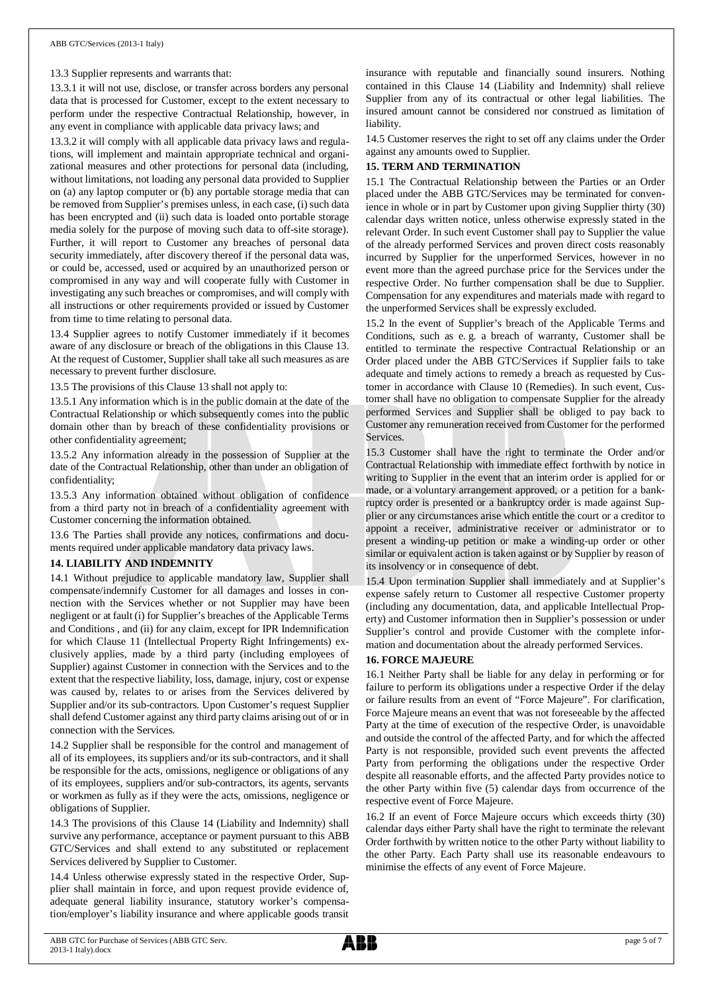13.3 Supplier represents and warrants that:

13.3.1 it will not use, disclose, or transfer across borders any personal data that is processed for Customer, except to the extent necessary to perform under the respective Contractual Relationship, however, in any event in compliance with applicable data privacy laws; and

13.3.2 it will comply with all applicable data privacy laws and regulations, will implement and maintain appropriate technical and organizational measures and other protections for personal data (including, without limitations, not loading any personal data provided to Supplier on (a) any laptop computer or (b) any portable storage media that can be removed from Supplier's premises unless, in each case, (i) such data has been encrypted and (ii) such data is loaded onto portable storage media solely for the purpose of moving such data to off-site storage). Further, it will report to Customer any breaches of personal data security immediately, after discovery thereof if the personal data was, or could be, accessed, used or acquired by an unauthorized person or compromised in any way and will cooperate fully with Customer in investigating any such breaches or compromises, and will comply with all instructions or other requirements provided or issued by Customer from time to time relating to personal data.

13.4 Supplier agrees to notify Customer immediately if it becomes aware of any disclosure or breach of the obligations in this Clause 13. At the request of Customer, Supplier shall take all such measures as are necessary to prevent further disclosure.

13.5 The provisions of this Clause 13 shall not apply to:

13.5.1 Any information which is in the public domain at the date of the Contractual Relationship or which subsequently comes into the public domain other than by breach of these confidentiality provisions or other confidentiality agreement;

13.5.2 Any information already in the possession of Supplier at the date of the Contractual Relationship, other than under an obligation of confidentiality;

13.5.3 Any information obtained without obligation of confidence from a third party not in breach of a confidentiality agreement with Customer concerning the information obtained.

13.6 The Parties shall provide any notices, confirmations and documents required under applicable mandatory data privacy laws.

#### **14. LIABILITY AND INDEMNITY**

14.1 Without prejudice to applicable mandatory law, Supplier shall compensate/indemnify Customer for all damages and losses in connection with the Services whether or not Supplier may have been negligent or at fault (i) for Supplier's breaches of the Applicable Terms and Conditions , and (ii) for any claim, except for IPR Indemnification for which Clause 11 (Intellectual Property Right Infringements) exclusively applies, made by a third party (including employees of Supplier) against Customer in connection with the Services and to the extent that the respective liability, loss, damage, injury, cost or expense was caused by, relates to or arises from the Services delivered by Supplier and/or its sub-contractors. Upon Customer's request Supplier shall defend Customer against any third party claims arising out of or in connection with the Services.

14.2 Supplier shall be responsible for the control and management of all of its employees, its suppliers and/or its sub-contractors, and it shall be responsible for the acts, omissions, negligence or obligations of any of its employees, suppliers and/or sub-contractors, its agents, servants or workmen as fully as if they were the acts, omissions, negligence or obligations of Supplier.

14.3 The provisions of this Clause 14 (Liability and Indemnity) shall survive any performance, acceptance or payment pursuant to this ABB GTC/Services and shall extend to any substituted or replacement Services delivered by Supplier to Customer.

14.4 Unless otherwise expressly stated in the respective Order, Supplier shall maintain in force, and upon request provide evidence of, adequate general liability insurance, statutory worker's compensation/employer's liability insurance and where applicable goods transit

insurance with reputable and financially sound insurers. Nothing contained in this Clause 14 (Liability and Indemnity) shall relieve Supplier from any of its contractual or other legal liabilities. The insured amount cannot be considered nor construed as limitation of liability.

14.5 Customer reserves the right to set off any claims under the Order against any amounts owed to Supplier.

#### **15. TERM AND TERMINATION**

15.1 The Contractual Relationship between the Parties or an Order placed under the ABB GTC/Services may be terminated for convenience in whole or in part by Customer upon giving Supplier thirty (30) calendar days written notice, unless otherwise expressly stated in the relevant Order. In such event Customer shall pay to Supplier the value of the already performed Services and proven direct costs reasonably incurred by Supplier for the unperformed Services, however in no event more than the agreed purchase price for the Services under the respective Order. No further compensation shall be due to Supplier. Compensation for any expenditures and materials made with regard to the unperformed Services shall be expressly excluded.

15.2 In the event of Supplier's breach of the Applicable Terms and Conditions, such as e. g. a breach of warranty, Customer shall be entitled to terminate the respective Contractual Relationship or an Order placed under the ABB GTC/Services if Supplier fails to take adequate and timely actions to remedy a breach as requested by Customer in accordance with Clause 10 (Remedies). In such event, Customer shall have no obligation to compensate Supplier for the already performed Services and Supplier shall be obliged to pay back to Customer any remuneration received from Customer for the performed **Services** 

15.3 Customer shall have the right to terminate the Order and/or Contractual Relationship with immediate effect forthwith by notice in writing to Supplier in the event that an interim order is applied for or made, or a voluntary arrangement approved, or a petition for a bankruptcy order is presented or a bankruptcy order is made against Supplier or any circumstances arise which entitle the court or a creditor to appoint a receiver, administrative receiver or administrator or to present a winding-up petition or make a winding-up order or other similar or equivalent action is taken against or by Supplier by reason of its insolvency or in consequence of debt.

15.4 Upon termination Supplier shall immediately and at Supplier's expense safely return to Customer all respective Customer property (including any documentation, data, and applicable Intellectual Property) and Customer information then in Supplier's possession or under Supplier's control and provide Customer with the complete information and documentation about the already performed Services.

#### **16. FORCE MAJEURE**

16.1 Neither Party shall be liable for any delay in performing or for failure to perform its obligations under a respective Order if the delay or failure results from an event of "Force Majeure". For clarification, Force Majeure means an event that was not foreseeable by the affected Party at the time of execution of the respective Order, is unavoidable and outside the control of the affected Party, and for which the affected Party is not responsible, provided such event prevents the affected Party from performing the obligations under the respective Order despite all reasonable efforts, and the affected Party provides notice to the other Party within five (5) calendar days from occurrence of the respective event of Force Majeure.

16.2 If an event of Force Majeure occurs which exceeds thirty (30) calendar days either Party shall have the right to terminate the relevant Order forthwith by written notice to the other Party without liability to the other Party. Each Party shall use its reasonable endeavours to minimise the effects of any event of Force Majeure.

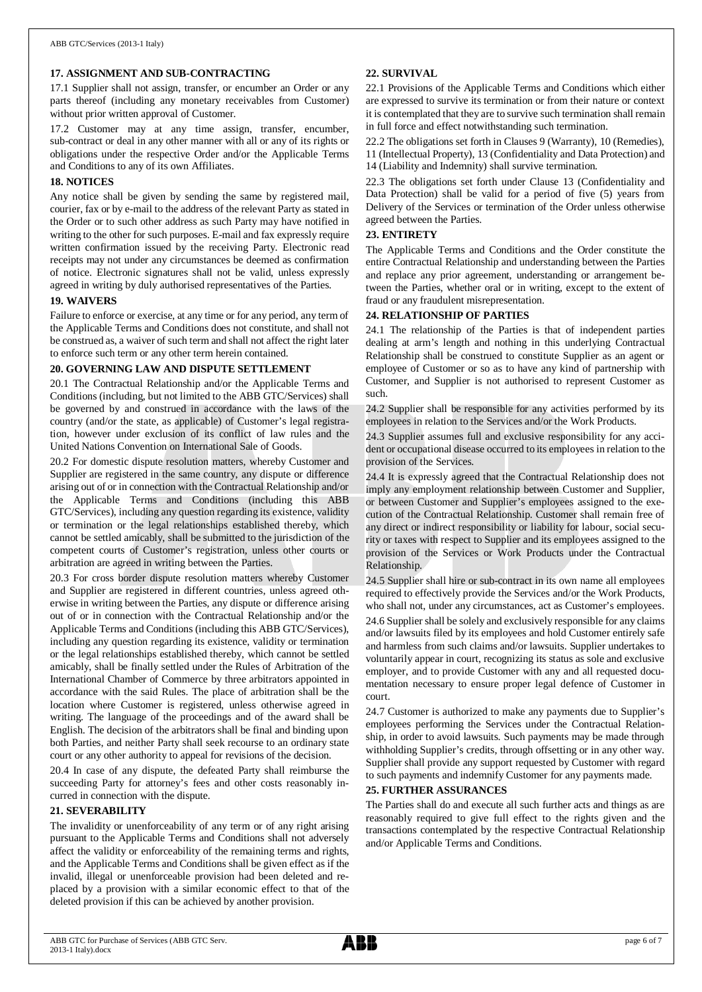## **17. ASSIGNMENT AND SUB-CONTRACTING**

17.1 Supplier shall not assign, transfer, or encumber an Order or any parts thereof (including any monetary receivables from Customer) without prior written approval of Customer.

17.2 Customer may at any time assign, transfer, encumber, sub-contract or deal in any other manner with all or any of its rights or obligations under the respective Order and/or the Applicable Terms and Conditions to any of its own Affiliates.

#### **18. NOTICES**

Any notice shall be given by sending the same by registered mail, courier, fax or by e-mail to the address of the relevant Party as stated in the Order or to such other address as such Party may have notified in writing to the other for such purposes. E-mail and fax expressly require written confirmation issued by the receiving Party. Electronic read receipts may not under any circumstances be deemed as confirmation of notice. Electronic signatures shall not be valid, unless expressly agreed in writing by duly authorised representatives of the Parties.

#### **19. WAIVERS**

Failure to enforce or exercise, at any time or for any period, any term of the Applicable Terms and Conditions does not constitute, and shall not be construed as, a waiver of such term and shall not affect the right later to enforce such term or any other term herein contained.

#### **20. GOVERNING LAW AND DISPUTE SETTLEMENT**

20.1 The Contractual Relationship and/or the Applicable Terms and Conditions (including, but not limited to the ABB GTC/Services) shall be governed by and construed in accordance with the laws of the country (and/or the state, as applicable) of Customer's legal registration, however under exclusion of its conflict of law rules and the United Nations Convention on International Sale of Goods.

20.2 For domestic dispute resolution matters, whereby Customer and Supplier are registered in the same country, any dispute or difference arising out of or in connection with the Contractual Relationship and/or the Applicable Terms and Conditions (including this ABB GTC/Services), including any question regarding its existence, validity or termination or the legal relationships established thereby, which cannot be settled amicably, shall be submitted to the jurisdiction of the competent courts of Customer's registration, unless other courts or arbitration are agreed in writing between the Parties.

20.3 For cross border dispute resolution matters whereby Customer and Supplier are registered in different countries, unless agreed otherwise in writing between the Parties, any dispute or difference arising out of or in connection with the Contractual Relationship and/or the Applicable Terms and Conditions (including this ABB GTC/Services), including any question regarding its existence, validity or termination or the legal relationships established thereby, which cannot be settled amicably, shall be finally settled under the Rules of Arbitration of the International Chamber of Commerce by three arbitrators appointed in accordance with the said Rules. The place of arbitration shall be the location where Customer is registered, unless otherwise agreed in writing. The language of the proceedings and of the award shall be English. The decision of the arbitrators shall be final and binding upon both Parties, and neither Party shall seek recourse to an ordinary state court or any other authority to appeal for revisions of the decision.

20.4 In case of any dispute, the defeated Party shall reimburse the succeeding Party for attorney's fees and other costs reasonably incurred in connection with the dispute.

#### **21. SEVERABILITY**

The invalidity or unenforceability of any term or of any right arising pursuant to the Applicable Terms and Conditions shall not adversely affect the validity or enforceability of the remaining terms and rights, and the Applicable Terms and Conditions shall be given effect as if the invalid, illegal or unenforceable provision had been deleted and replaced by a provision with a similar economic effect to that of the deleted provision if this can be achieved by another provision.

#### **22. SURVIVAL**

22.1 Provisions of the Applicable Terms and Conditions which either are expressed to survive its termination or from their nature or context it is contemplated that they are to survive such termination shall remain in full force and effect notwithstanding such termination.

22.2 The obligations set forth in Clauses 9 (Warranty), 10 (Remedies), 11 (Intellectual Property), 13 (Confidentiality and Data Protection) and 14 (Liability and Indemnity) shall survive termination.

22.3 The obligations set forth under Clause 13 (Confidentiality and Data Protection) shall be valid for a period of five (5) years from Delivery of the Services or termination of the Order unless otherwise agreed between the Parties.

## **23. ENTIRETY**

The Applicable Terms and Conditions and the Order constitute the entire Contractual Relationship and understanding between the Parties and replace any prior agreement, understanding or arrangement between the Parties, whether oral or in writing, except to the extent of fraud or any fraudulent misrepresentation.

## **24. RELATIONSHIP OF PARTIES**

24.1 The relationship of the Parties is that of independent parties dealing at arm's length and nothing in this underlying Contractual Relationship shall be construed to constitute Supplier as an agent or employee of Customer or so as to have any kind of partnership with Customer, and Supplier is not authorised to represent Customer as such.

24.2 Supplier shall be responsible for any activities performed by its employees in relation to the Services and/or the Work Products.

24.3 Supplier assumes full and exclusive responsibility for any accident or occupational disease occurred to its employees in relation to the provision of the Services.

24.4 It is expressly agreed that the Contractual Relationship does not imply any employment relationship between Customer and Supplier, or between Customer and Supplier's employees assigned to the execution of the Contractual Relationship. Customer shall remain free of any direct or indirect responsibility or liability for labour, social security or taxes with respect to Supplier and its employees assigned to the provision of the Services or Work Products under the Contractual Relationship.

24.5 Supplier shall hire or sub-contract in its own name all employees required to effectively provide the Services and/or the Work Products, who shall not, under any circumstances, act as Customer's employees.

24.6 Supplier shall be solely and exclusively responsible for any claims and/or lawsuits filed by its employees and hold Customer entirely safe and harmless from such claims and/or lawsuits. Supplier undertakes to voluntarily appear in court, recognizing its status as sole and exclusive employer, and to provide Customer with any and all requested documentation necessary to ensure proper legal defence of Customer in court.

24.7 Customer is authorized to make any payments due to Supplier's employees performing the Services under the Contractual Relationship, in order to avoid lawsuits. Such payments may be made through withholding Supplier's credits, through offsetting or in any other way. Supplier shall provide any support requested by Customer with regard to such payments and indemnify Customer for any payments made.

#### **25. FURTHER ASSURANCES**

The Parties shall do and execute all such further acts and things as are reasonably required to give full effect to the rights given and the transactions contemplated by the respective Contractual Relationship and/or Applicable Terms and Conditions.